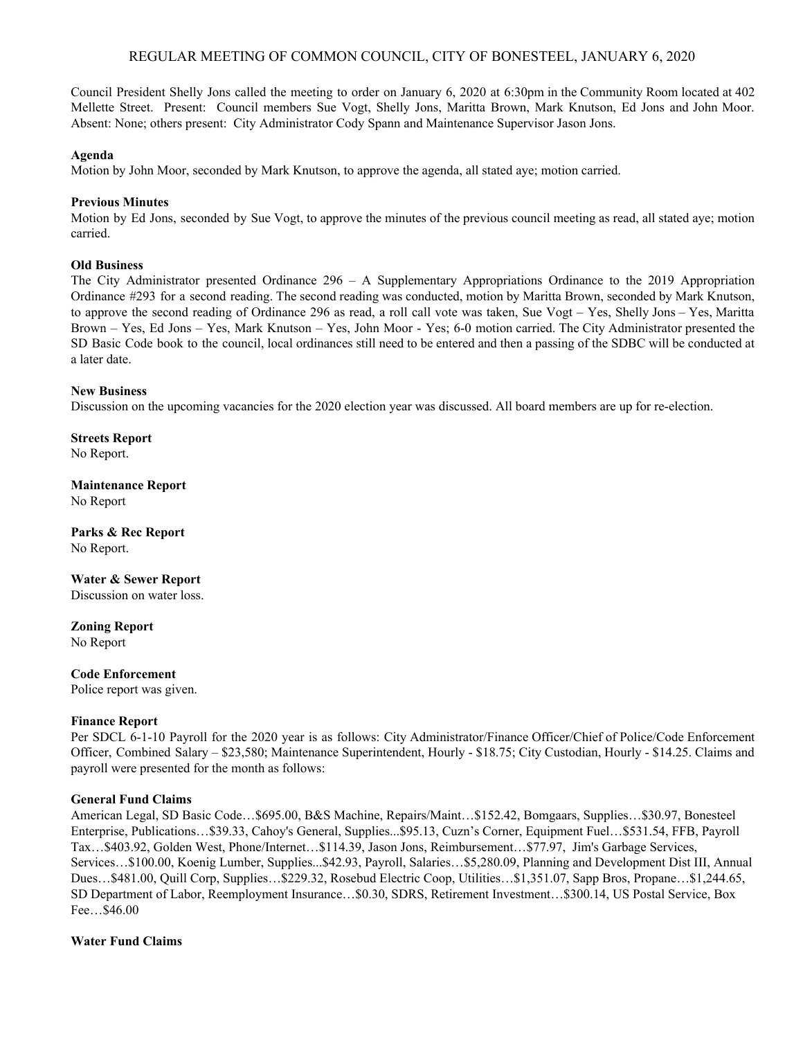# REGULAR MEETING OF COMMON COUNCIL, CITY OF BONESTEEL, JANUARY 6, 2020

Council President Shelly Jons called the meeting to order on January 6, 2020 at 6:30pm in the Community Room located at 402 Mellette Street. Present: Council members Sue Vogt, Shelly Jons, Maritta Brown, Mark Knutson, Ed Jons and John Moor. Absent: None; others present: City Administrator Cody Spann and Maintenance Supervisor Jason Jons.

#### **Agenda**

Motion by John Moor, seconded by Mark Knutson, to approve the agenda, all stated aye; motion carried.

### **Previous Minutes**

Motion by Ed Jons, seconded by Sue Vogt, to approve the minutes of the previous council meeting as read, all stated aye; motion carried.

# **Old Business**

The City Administrator presented Ordinance 296 – A Supplementary Appropriations Ordinance to the 2019 Appropriation Ordinance #293 for a second reading. The second reading was conducted, motion by Maritta Brown, seconded by Mark Knutson, to approve the second reading of Ordinance 296 as read, a roll call vote was taken, Sue Vogt – Yes, Shelly Jons – Yes, Maritta Brown – Yes, Ed Jons – Yes, Mark Knutson – Yes, John Moor - Yes; 6-0 motion carried. The City Administrator presented the SD Basic Code book to the council, local ordinances still need to be entered and then a passing of the SDBC will be conducted at a later date.

#### **New Business**

Discussion on the upcoming vacancies for the 2020 election year was discussed. All board members are up for re-election.

**Streets Report** No Report.

**Maintenance Report** No Report

**Parks & Rec Report** No Report.

**Water & Sewer Report** Discussion on water loss.

**Zoning Report** No Report

**Code Enforcement** Police report was given.

# **Finance Report**

Per SDCL 6-1-10 Payroll for the 2020 year is as follows: City Administrator/Finance Officer/Chief of Police/Code Enforcement Officer, Combined Salary – \$23,580; Maintenance Superintendent, Hourly - \$18.75; City Custodian, Hourly - \$14.25. Claims and payroll were presented for the month as follows:

# **General Fund Claims**

American Legal, SD Basic Code…\$695.00, B&S Machine, Repairs/Maint…\$152.42, Bomgaars, Supplies…\$30.97, Bonesteel Enterprise, Publications…\$39.33, Cahoy's General, Supplies...\$95.13, Cuzn's Corner, Equipment Fuel…\$531.54, FFB, Payroll Tax…\$403.92, Golden West, Phone/Internet…\$114.39, Jason Jons, Reimbursement…\$77.97, Jim's Garbage Services, Services…\$100.00, Koenig Lumber, Supplies...\$42.93, Payroll, Salaries…\$5,280.09, Planning and Development Dist III, Annual Dues…\$481.00, Quill Corp, Supplies…\$229.32, Rosebud Electric Coop, Utilities…\$1,351.07, Sapp Bros, Propane…\$1,244.65, SD Department of Labor, Reemployment Insurance…\$0.30, SDRS, Retirement Investment…\$300.14, US Postal Service, Box Fee…\$46.00

# **Water Fund Claims**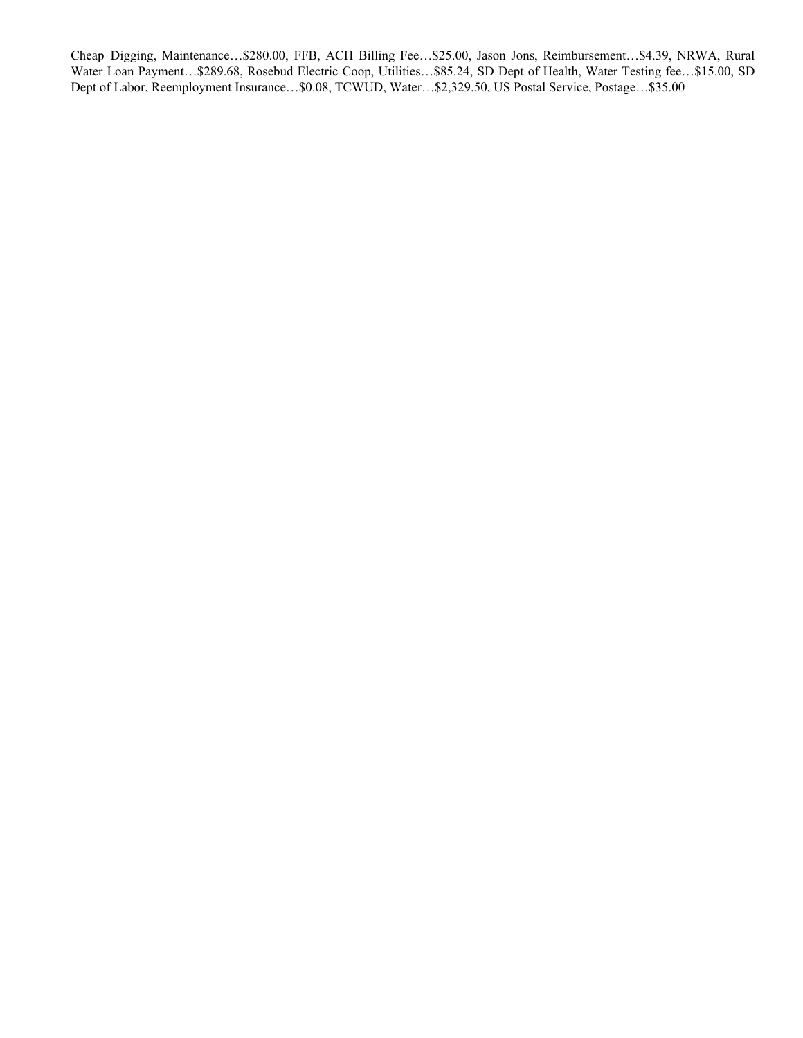Cheap Digging, Maintenance…\$280.00, FFB, ACH Billing Fee…\$25.00, Jason Jons, Reimbursement…\$4.39, NRWA, Rural Water Loan Payment…\$289.68, Rosebud Electric Coop, Utilities…\$85.24, SD Dept of Health, Water Testing fee…\$15.00, SD Dept of Labor, Reemployment Insurance…\$0.08, TCWUD, Water…\$2,329.50, US Postal Service, Postage…\$35.00